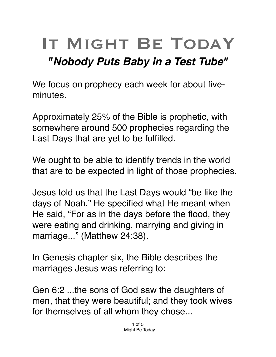# IT MIGHT BE TODAY *"Nobody Puts Baby in a Test Tube"*

# We focus on prophecy each week for about fiveminutes.

Approximately 25% of the Bible is prophetic, with somewhere around 500 prophecies regarding the Last Days that are yet to be fulfilled.

We ought to be able to identify trends in the world that are to be expected in light of those prophecies.

Jesus told us that the Last Days would "be like the days of Noah." He specified what He meant when He said, "For as in the days before the flood, they were eating and drinking, marrying and giving in marriage..." (Matthew 24:38).

In Genesis chapter six, the Bible describes the marriages Jesus was referring to:

Gen 6:2 ...the sons of God saw the daughters of men, that they were beautiful; and they took wives for themselves of all whom they chose...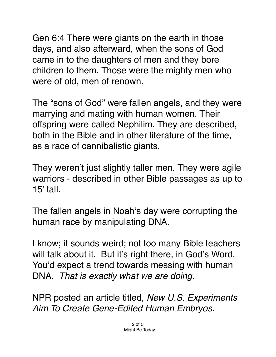Gen 6:4 There were giants on the earth in those days, and also afterward, when the sons of God came in to the daughters of men and they bore children to them. Those were the mighty men who were of old, men of renown.

The "sons of God" were fallen angels, and they were marrying and mating with human women. Their offspring were called Nephilim. They are described, both in the Bible and in other literature of the time, as a race of cannibalistic giants.

They weren't just slightly taller men. They were agile warriors - described in other Bible passages as up to  $15'$  tall.

The fallen angels in Noah's day were corrupting the human race by manipulating DNA.

I know; it sounds weird; not too many Bible teachers will talk about it. But it's right there, in God's Word. You'd expect a trend towards messing with human DNA. *That is exactly what we are doing.* 

NPR posted an article titled, *New U.S. Experiments Aim To Create Gene-Edited Human Embryos.*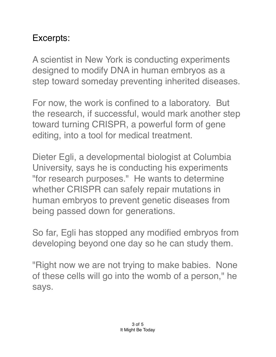## Excerpts:

A scientist in New York is conducting experiments designed to modify DNA in human embryos as a step toward someday preventing inherited diseases.

For now, the work is confined to a laboratory. But the research, if successful, would mark another step toward turning CRISPR, a powerful form of gene editing, into a tool for medical treatment.

[Dieter Egli](http://cumc.p.cumcweb.org/mdphd/profile/degli), a developmental biologist at Columbia University, says he is conducting his experiments "for research purposes." He wants to determine whether [CRISPR](https://www.npr.org/tags/419142387/crispr) can safely repair mutations in human embryos to prevent genetic diseases from being passed down for generations.

So far, Egli has stopped any modified embryos from developing beyond one day so he can study them.

"Right now we are not trying to make babies. None of these cells will go into the womb of a person," he says.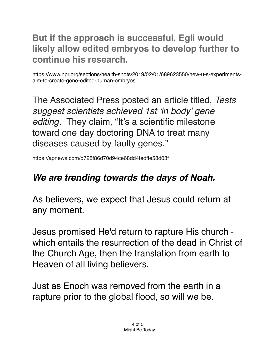#### **But if the approach is successful, Egli would likely allow edited embryos to develop further to continue his research.**

https://www.npr.org/sections/health-shots/2019/02/01/689623550/new-u-s-experimentsaim-to-create-gene-edited-human-embryos

The Associated Press posted an article titled, *Tests suggest scientists achieved 1st 'in body' gene editing.* They claim, "It's a scientific milestone toward one day doctoring DNA to treat many diseases caused by faulty genes."

https://apnews.com/d728f86d70d94ce68dd4fedffe58d03f

### *We are trending towards the days of Noah.*

As believers, we expect that Jesus could return at any moment.

Jesus promised He'd return to rapture His church which entails the resurrection of the dead in Christ of the Church Age, then the translation from earth to Heaven of all living believers.

Just as Enoch was removed from the earth in a rapture prior to the global flood, so will we be.